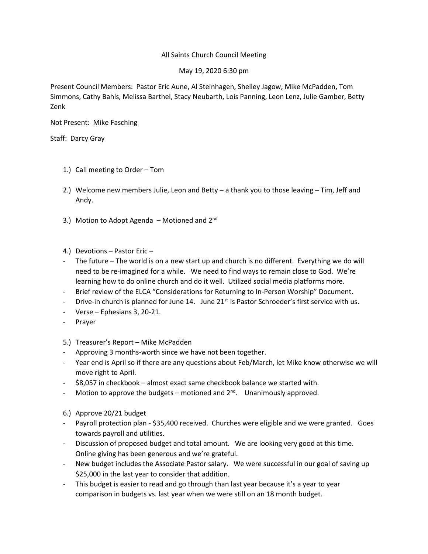## All Saints Church Council Meeting

## May 19, 2020 6:30 pm

Present Council Members: Pastor Eric Aune, Al Steinhagen, Shelley Jagow, Mike McPadden, Tom Simmons, Cathy Bahls, Melissa Barthel, Stacy Neubarth, Lois Panning, Leon Lenz, Julie Gamber, Betty Zenk

Not Present: Mike Fasching

Staff: Darcy Gray

- 1.) Call meeting to Order Tom
- 2.) Welcome new members Julie, Leon and Betty a thank you to those leaving Tim, Jeff and Andy.
- 3.) Motion to Adopt Agenda Motioned and  $2^{nd}$
- 4.) Devotions Pastor Eric –
- The future The world is on a new start up and church is no different. Everything we do will need to be re-imagined for a while. We need to find ways to remain close to God. We're learning how to do online church and do it well. Utilized social media platforms more.
- Brief review of the ELCA "Considerations for Returning to In-Person Worship" Document.
- Drive-in church is planned for June 14. June  $21^{st}$  is Pastor Schroeder's first service with us.
- Verse Ephesians 3, 20-21.
- Prayer

5.) Treasurer's Report – Mike McPadden

- Approving 3 months-worth since we have not been together.
- Year end is April so if there are any questions about Feb/March, let Mike know otherwise we will move right to April.
- \$8,057 in checkbook almost exact same checkbook balance we started with.
- Motion to approve the budgets motioned and  $2^{nd}$ . Unanimously approved.
- 6.) Approve 20/21 budget
- Payroll protection plan \$35,400 received. Churches were eligible and we were granted. Goes towards payroll and utilities.
- Discussion of proposed budget and total amount. We are looking very good at this time. Online giving has been generous and we're grateful.
- New budget includes the Associate Pastor salary. We were successful in our goal of saving up \$25,000 in the last year to consider that addition.
- This budget is easier to read and go through than last year because it's a year to year comparison in budgets vs. last year when we were still on an 18 month budget.